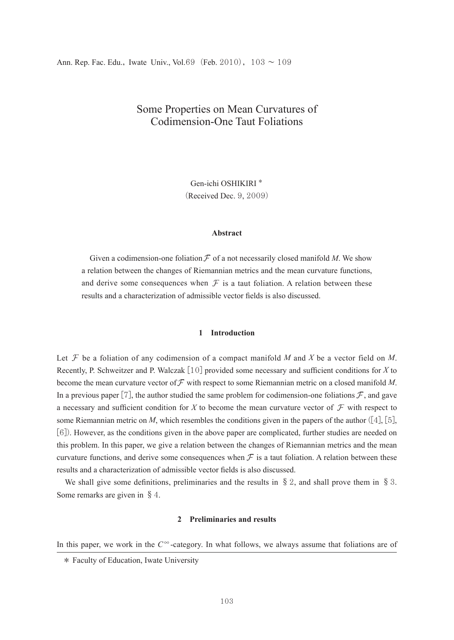# Some Properties on Mean Curvatures of Codimension-One Taut Foliations

Gen-ichi OSHIKIRI \* (Received Dec. 9, 2009)

## **Abstract**

Given a codimension-one foliation  $\mathcal F$  of a not necessarily closed manifold *M*. We show a relation between the changes of Riemannian metrics and the mean curvature functions, and derive some consequences when  $\mathcal F$  is a taut foliation. A relation between these results and a characterization of admissible vector fields is also discussed.

# **1 Introduction**

Let  $\mathcal F$  be a foliation of any codimension of a compact manifold *M* and *X* be a vector field on *M*. Recently, P. Schweitzer and P. Walczak [10] provided some necessary and sufficient conditions for *X* to become the mean curvature vector of  $\mathcal F$  with respect to some Riemannian metric on a closed manifold *M*. In a previous paper [7], the author studied the same problem for codimension-one foliations  $\mathcal{F}$ , and gave a necessary and sufficient condition for *X* to become the mean curvature vector of  $\mathcal F$  with respect to some Riemannian metric on *M*, which resembles the conditions given in the papers of the author  $([4], [5],$ [6]). However, as the conditions given in the above paper are complicated, further studies are needed on this problem. In this paper, we give a relation between the changes of Riemannian metrics and the mean curvature functions, and derive some consequences when  $\mathcal F$  is a taut foliation. A relation between these results and a characterization of admissible vector fields is also discussed.

We shall give some definitions, preliminaries and the results in  $\S 2$ , and shall prove them in  $\S 3$ . Some remarks are given in §4.

# **2 Preliminaries and results**

In this paper, we work in the  $C^{\infty}$ -category. In what follows, we always assume that foliations are of

<sup>\*</sup> Faculty of Education, Iwate University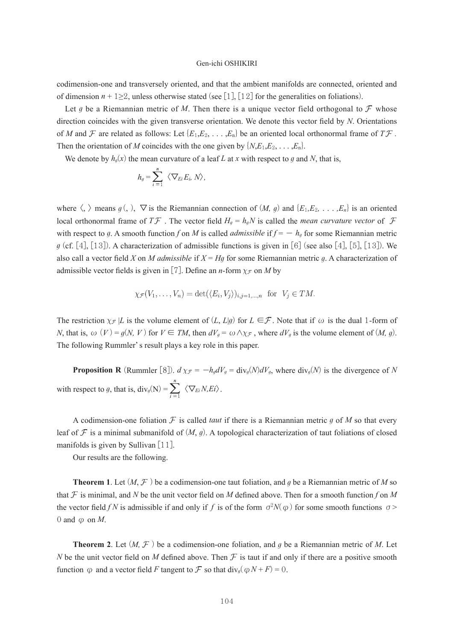#### Gen-ichi OSHIKIRI

codimension-one and transversely oriented, and that the ambient manifolds are connected, oriented and of dimension  $n + 1 \geq 2$ , unless otherwise stated (see [1], [12] for the generalities on foliations).

Let *g* be a Riemannian metric of M. Then there is a unique vector field orthogonal to  $\mathcal F$  whose direction coincides with the given transverse orientation. We denote this vector field by *N*. Orientations of *M* and  $\mathcal F$  are related as follows: Let  $\{E_1, E_2, \ldots, E_n\}$  be an oriented local orthonormal frame of  $T\mathcal F$ . Then the orientation of *M* coincides with the one given by  $\{N,E_1,E_2,\ldots,E_n\}$ .

We denote by  $h_q(x)$  the mean curvature of a leaf *L* at *x* with respect to *g* and *N*, that is,

$$
h_g = \sum_{i=1}^n \langle \nabla_{E_i} E_i, N \rangle,
$$

where  $\langle, \rangle$  means  $g(\cdot), \nabla$  is the Riemannian connection of  $(M, g)$  and  $\{E_1, E_2, \ldots, E_n\}$  is an oriented local orthonormal frame of  $T\mathcal{F}$ . The vector field  $H_g = h_g N$  is called the *mean curvature vector* of  $\mathcal F$ with respect to g. A smooth function f on M is called *admissible* if  $f = -h_g$  for some Riemannian metric *g* (cf. [4], [13]). A characterization of admissible functions is given in [6] (see also [4], [5], [13]). We also call a vector field *X* on *M admissible* if *X* = *Hg* for some Riemannian metric *g*. A characterization of admissible vector fields is given in [7]. Define an *n*-form  $\chi_{\mathcal{F}}$  on *M* by

$$
\chi_{\mathcal{F}}(V_1,\ldots,V_n)=\det(\langle E_i,V_j\rangle)_{i,j=1,\ldots,n} \text{ for } V_j\in TM.
$$

The restriction  $\chi$ <sup>*F*</sup> |*L* is the volume element of  $(L, L|g)$  for  $L \in \mathcal{F}$ . Note that if  $\omega$  is the dual 1-form of *N*, that is,  $\omega(V) = g(N, V)$  for  $V \in TM$ , then  $dV_q = \omega \wedge \chi_{\mathcal{F}}$ , where  $dV_q$  is the volume element of  $(M, g)$ . The following Rummler's result plays a key role in this paper.

**Proposition R** (Rummler [8]).  $d \chi_{\mathcal{F}} = -h_q dV_q = \text{div}_q(N) dV_q$ , where  $\text{div}_q(N)$  is the divergence of *N* with respect to *g*, that is,  $div_g(N) = \sum_{i=1}^{n} \langle \nabla_{E_i} N, E_i \rangle$ .

A codimension-one foliation  $F$  is called *taut* if there is a Riemannian metric  $g$  of  $M$  so that every leaf of  $\mathcal F$  is a minimal submanifold of  $(M, q)$ . A topological characterization of taut foliations of closed manifolds is given by Sullivan [11].

Our results are the following.

**Theorem 1**. Let  $(M, \mathcal{F})$  be a codimension-one taut foliation, and *g* be a Riemannian metric of *M* so that  $\mathcal F$  is minimal, and *N* be the unit vector field on *M* defined above. Then for a smooth function f on *M* the vector field *fN* is admissible if and only if *f* is of the form  $\sigma^2 N(\varphi)$  for some smooth functions  $\sigma$ > 0 and  $\varphi$  on *M*.

**Theorem 2.** Let  $(M, \mathcal{F})$  be a codimension-one foliation, and g be a Riemannian metric of M. Let *N* be the unit vector field on *M* defined above. Then  $\mathcal F$  is taut if and only if there are a positive smooth function  $\varphi$  and a vector field *F* tangent to  $\mathcal F$  so that div<sub>g</sub>( $\varphi N + F$ ) = 0.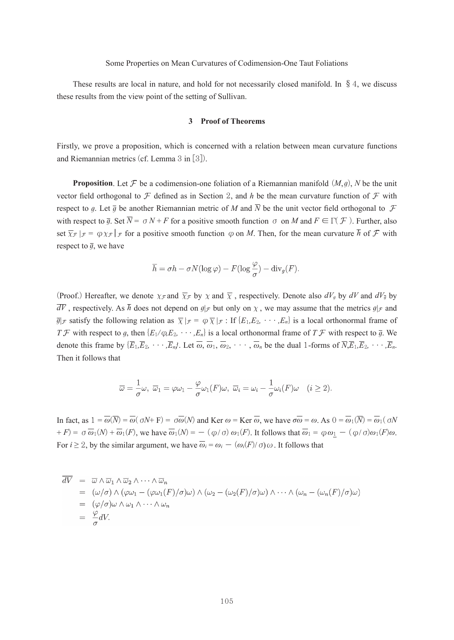## Some Properties on Mean Curvatures of Codimension-One Taut Foliations

These results are local in nature, and hold for not necessarily closed manifold. In  $\S 4$ , we discuss these results from the view point of the setting of Sullivan.

#### **3 Proof of Theorems**

Firstly, we prove a proposition, which is concerned with a relation between mean curvature functions and Riemannian metrics (cf. Lemma 3 in [3]).

**Proposition**. Let  $\mathcal F$  be a codimension-one foliation of a Riemannian manifold  $(M, g)$ , *N* be the unit vector field orthogonal to  $\mathcal F$  defined as in Section 2, and *h* be the mean curvature function of  $\mathcal F$  with respect to g. Let  $\bar{q}$  be another Riemannian metric of M and  $\bar{N}$  be the unit vector field orthogonal to  $\mathcal F$ with respect to  $\overline{q}$ . Set  $\overline{N} = \sigma N + F$  for a positive smooth function  $\sigma$  on *M* and  $F \in \Gamma(\mathcal{F})$ . Further, also set  $\overline{\chi}_{\mathcal{F}}|_{\mathcal{F}} = \varphi \chi_{\mathcal{F}}|_{\mathcal{F}}$  for a positive smooth function  $\varphi$  on *M*. Then, for the mean curvature  $\overline{h}$  of  $\mathcal F$  with respect to  $\overline{q}$ , we have

$$
\overline{h} = \sigma h - \sigma N(\log \varphi) - F(\log \frac{\varphi}{\sigma}) - \text{div}_g(F).
$$

(Proof.) Hereafter, we denote  $\chi_{\mathcal{F}}$  and  $\overline{\chi}_{\mathcal{F}}$  by  $\chi$  and  $\overline{\chi}$ , respectively. Denote also  $dV_g$  by  $dV$  and  $dV_g$  by  $\overline{dV}$ , respectively. As  $\overline{h}$  does not depend on  $g|\mathcal{F}$  but only on  $\chi$ , we may assume that the metrics  $g|\mathcal{F}$  and  $\overline{g}$ |  $\overline{x}$  satisfy the following relation as  $\overline{\chi}|_{\mathcal{F}} = \varphi \overline{\chi}|_{\mathcal{F}}$ : If  $\{E_1, E_2, \cdots, E_n\}$  is a local orthonormal frame of *T*  $\mathcal F$  with respect to *g*, then  $\{E_1/\varphi, E_2, \cdots, E_n\}$  is a local orthonormal frame of *T*  $\mathcal F$  with respect to  $\bar g$ . We denote this frame by  ${\{\overline{E}_1,\overline{E}_2, \cdots, \overline{E}_n\}}$ . Let  $\overline{\omega}, \overline{\omega}_1, \overline{\omega}_2, \cdots, \overline{\omega}_n$  be the dual 1-forms of  $\overline{N}, \overline{E}_1, \overline{E}_2, \cdots, \overline{E}_n$ . Then it follows that

$$
\overline{\omega} = -\frac{1}{\sigma}\omega, \ \overline{\omega}_1 = \varphi\omega_1 - \frac{\varphi}{\sigma}\omega_1(F)\omega, \ \overline{\omega}_i = \omega_i - \frac{1}{\sigma}\omega_i(F)\omega \quad (i \geq 2).
$$

In fact, as  $1 = \overline{\omega}(\overline{N}) = \overline{\omega}(\sigma N + F) = \sigma \overline{\omega}(N)$  and Ker  $\omega = \text{Ker } \overline{\omega}$ , we have  $\sigma \overline{\omega} = \omega$ . As  $0 = \overline{\omega}_1(\overline{N}) = \overline{\omega}_1(\sigma N)$  $F(F) = \sigma \overline{\omega}_1(N) + \overline{\omega}_1(F)$ , we have  $\overline{\omega}_1(N) = -(\phi/\sigma) \omega_1(F)$ . It follows that  $\overline{\omega}_1 = \phi \omega_1 - (\phi/\sigma) \omega_1(F) \omega_1(F)$ . For *i*  $\geq$  2, by the similar argument, we have  $\overline{\omega_i} = \omega_i - (\omega_i(F)/\sigma)\omega$ . It follows that

$$
\overline{dV} = \overline{\omega} \wedge \overline{\omega}_1 \wedge \overline{\omega}_2 \wedge \cdots \wedge \overline{\omega}_n
$$
  
\n
$$
= (\omega/\sigma) \wedge (\varphi \omega_1 - (\varphi \omega_1(F)/\sigma)\omega) \wedge (\omega_2 - (\omega_2(F)/\sigma)\omega) \wedge \cdots \wedge (\omega_n - (\omega_n(F)/\sigma)\omega)
$$
  
\n
$$
= (\varphi/\sigma)\omega \wedge \omega_1 \wedge \cdots \wedge \omega_n
$$
  
\n
$$
= \frac{\varphi}{\sigma}dV.
$$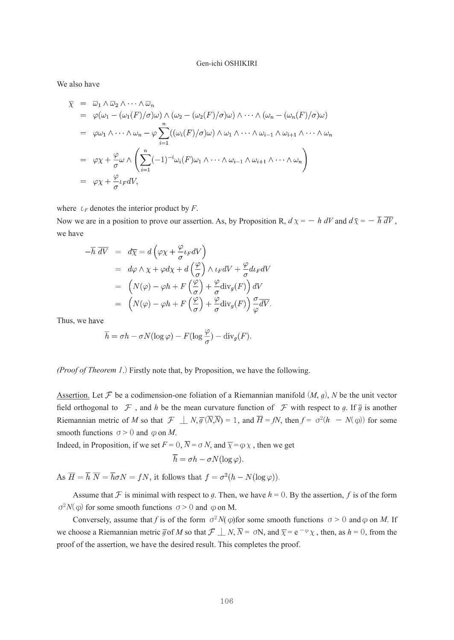#### Gen-ichi OSHIKIRI

We also have

$$
\overline{\chi} = \overline{\omega}_1 \wedge \overline{\omega}_2 \wedge \cdots \wedge \overline{\omega}_n
$$
\n
$$
= \varphi(\omega_1 - (\omega_1(F)/\sigma)\omega) \wedge (\omega_2 - (\omega_2(F)/\sigma)\omega) \wedge \cdots \wedge (\omega_n - (\omega_n(F)/\sigma)\omega)
$$
\n
$$
= \varphi\omega_1 \wedge \cdots \wedge \omega_n - \varphi \sum_{i=1}^n ((\omega_i(F)/\sigma)\omega) \wedge \omega_1 \wedge \cdots \wedge \omega_{i-1} \wedge \omega_{i+1} \wedge \cdots \wedge \omega_n)
$$
\n
$$
= \varphi\chi + \frac{\varphi}{\sigma}\omega \wedge \left(\sum_{i=1}^n (-1)^{-i}\omega_i(F)\omega_1 \wedge \cdots \wedge \omega_{i-1} \wedge \omega_{i+1} \wedge \cdots \wedge \omega_n\right)
$$
\n
$$
= \varphi\chi + \frac{\varphi}{\sigma}\iota_F dV,
$$

where  $\iota_F$  denotes the interior product by *F*.

Now we are in a position to prove our assertion. As, by Proposition R,  $d\chi = -h dV$  and  $d\overline{\chi} = -\overline{h} \overline{dV}$ , we have

$$
-\overline{h} \overline{dV} = d\overline{\chi} = d\left(\varphi\chi + \frac{\varphi}{\sigma}\iota_F dV\right)
$$
  
\n
$$
= d\varphi \wedge \chi + \varphi d\chi + d\left(\frac{\varphi}{\sigma}\right) \wedge \iota_F dV + \frac{\varphi}{\sigma} d\iota_F dV
$$
  
\n
$$
= \left(N(\varphi) - \varphi h + F\left(\frac{\varphi}{\sigma}\right) + \frac{\varphi}{\sigma} \operatorname{div}_g(F)\right) dV
$$
  
\n
$$
= \left(N(\varphi) - \varphi h + F\left(\frac{\varphi}{\sigma}\right) + \frac{\varphi}{\sigma} \operatorname{div}_g(F)\right) \frac{\sigma}{\varphi} \overline{dV}.
$$

Thus, we

$$
\overline{h} = \sigma h - \sigma N(\log \varphi) - F(\log \frac{\varphi}{\sigma}) - \text{div}_g(F).
$$

*(Proof of Theorem 1*.) Firstly note that, by Proposition, we have the following.

Assertion. Let  $\mathcal F$  be a codimension-one foliation of a Riemannian manifold  $(M, g)$ , *N* be the unit vector field orthogonal to  $\mathcal F$ , and *h* be the mean curvature function of  $\mathcal F$  with respect to g. If  $\overline{g}$  is another Riemannian metric of *M* so that  $\mathcal{F}$  |  $N, \overline{g}(\overline{N},\overline{N}) = 1$ , and  $\overline{H} = fN$ , then  $f = \sigma^2(h - N(\phi))$  for some smooth functions  $\sigma > 0$  and  $\varphi$  on *M*.

Indeed, in Proposition, if we set  $F = 0$ ,  $\overline{N} = \sigma N$ , and  $\overline{\chi} = \varphi \chi$ , then we get

$$
\overline{h} = \sigma h - \sigma N(\log \varphi).
$$

As  $\overline{H} = \overline{h} \ \overline{N} = \overline{h} \sigma N = fN$ , it follows that  $f = \sigma^2(h - N(\log \varphi))$ .

Assume that  $\mathcal F$  is minimal with respect to g. Then, we have  $h = 0$ . By the assertion,  $f$  is of the form  $\sigma^2 N(\varphi)$  for some smooth functions  $\sigma > 0$  and  $\varphi$  on M.

Conversely, assume that *f* is of the form  $\sigma^2 N(\varphi)$  for some smooth functions  $\sigma > 0$  and  $\varphi$  on *M*. If we choose a Riemannian metric  $\overline{g}$  of *M* so that  $\mathcal{F} \perp N$ ,  $\overline{N} = \sigma N$ , and  $\overline{\chi} = e^{-\varphi} \chi$ , then, as  $h = 0$ , from the proof of the assertion, we have the desired result. This completes the proof.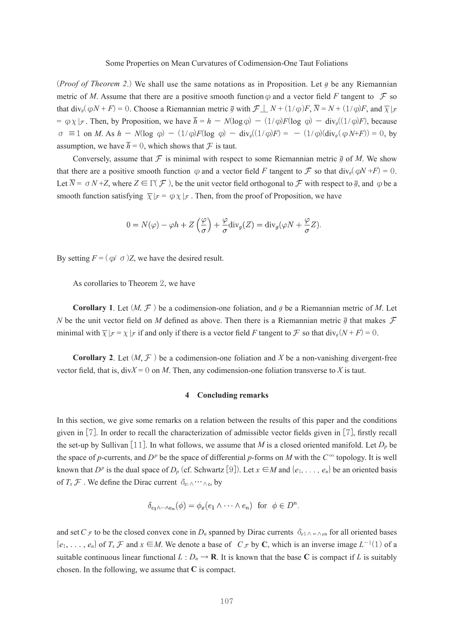(*Proof of Theorem 2*.) We shall use the same notations as in Proposition. Let *g* be any Riemannian metric of *M*. Assume that there are a positive smooth function  $\varphi$  and a vector field *F* tangent to  $\varphi$  so that  $div_q(\omega N + F) = 0$ . Choose a Riemannian metric  $\overline{q}$  with  $\mathcal{F} \mid N + (1/\omega)F$ ,  $\overline{N} = N + (1/\omega)F$ , and  $\overline{X} \mid \overline{r}$  $= \varphi \chi |_{\mathcal{F}}$ . Then, by Proposition, we have  $\overline{h} = h - N(\log \varphi) - (1/\varphi)F(\log \varphi) - \text{div}_q((1/\varphi)F)$ , because  $\sigma \equiv 1$  on *M*. As  $h - N(\log \varphi) - (1/\varphi)F(\log \varphi) - \text{div}_g((1/\varphi)F) = -(1/\varphi)(\text{div}_g(\varphi N+F)) = 0$ , by assumption, we have  $\bar{h} = 0$ , which shows that  $\mathcal F$  is taut.

Conversely, assume that  $\mathcal F$  is minimal with respect to some Riemannian metric  $\bar g$  of M. We show that there are a positive smooth function  $\varphi$  and a vector field *F* tangent to  $\mathcal F$  so that div<sub>*g*</sub>( $\varphi$ N +*F*) = 0. Let  $\overline{N} = \sigma N + Z$ , where  $Z \in \Gamma(\mathcal{F})$ , be the unit vector field orthogonal to  $\mathcal F$  with respect to  $\overline{g}$ , and  $\varphi$  be a smooth function satisfying  $\overline{\chi}|_{\mathcal{F}} = \varphi \chi|_{\mathcal{F}}$ . Then, from the proof of Proposition, we have

$$
0 = N(\varphi) - \varphi h + Z\left(\frac{\varphi}{\sigma}\right) + \frac{\varphi}{\sigma} \text{div}_g(Z) = \text{div}_g(\varphi N + \frac{\varphi}{\sigma} Z).
$$

By setting  $F = (\varphi / \sigma)Z$ , we have the desired result.

As corollaries to Theorem 2, we have

**Corollary** 1. Let  $(M, \mathcal{F})$  be a codimension-one foliation, and g be a Riemannian metric of M. Let *N* be the unit vector field on *M* defined as above. Then there is a Riemannian metric  $\bar{q}$  that makes  $\mathcal F$ minimal with  $\overline{\chi}|_{\mathcal{F}} = \chi |_{\mathcal{F}}$  if and only if there is a vector field *F* tangent to *F* so that div<sub>*g*</sub>(*N* + *F*) = 0.

**Corollary 2.** Let  $(M, \mathcal{F})$  be a codimension-one foliation and X be a non-vanishing divergent-free vector field, that is, div*X* = 0 on *M*. Then, any codimension-one foliation transverse to *X* is taut.

## **4 Concluding remarks**

In this section, we give some remarks on a relation between the results of this paper and the conditions given in [7]. In order to recall the characterization of admissible vector fields given in [7], firstly recall the set-up by Sullivan [11]. In what follows, we assume that *M* is a closed oriented manifold. Let  $D_p$  be the space of *p*-currents, and  $D^p$  be the space of differential *p*-forms on *M* with the  $C^{\infty}$  topology. It is well known that *D<sup>p</sup>* is the dual space of *D<sub>p</sub>* (cf. Schwartz [9]). Let  $x \in M$  and  $\{e_1, \ldots, e_n\}$  be an oriented basis of  $T_x \mathcal{F}$ . We define the Dirac current  $\delta_{e_1} \wedge \cdots \wedge_{e_n}$  by

$$
\delta_{e_1 \wedge \dots \wedge e_n}(\phi) = \phi_x(e_1 \wedge \dots \wedge e_n) \text{ for } \phi \in D^n,
$$

and set *C*  $\mathcal F$  to be the closed convex cone in *D<sub>n</sub>* spanned by Dirac currents  $\delta_{e_1 \wedge \cdots \wedge e_n}$  for all oriented bases  ${e_1, \ldots, e_n}$  of  $T_x \mathcal{F}$  and  $x \in M$ . We denote a base of  $C_{\mathcal{F}}$  by **C**, which is an inverse image  $L^{-1}(1)$  of a suitable continuous linear functional  $L : D_n \to \mathbf{R}$ . It is known that the base **C** is compact if *L* is suitably chosen. In the following, we assume that **C** is compact.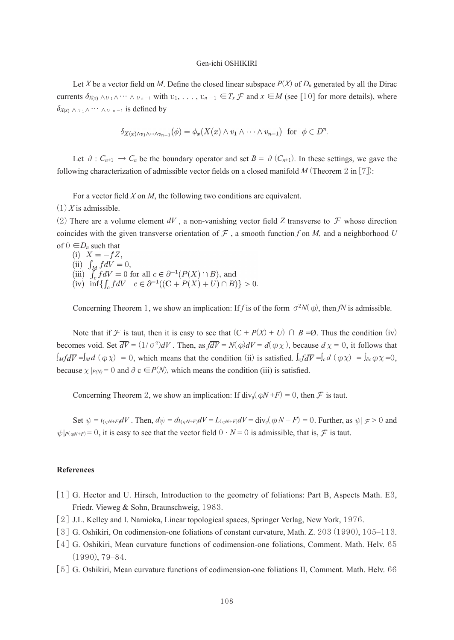## Gen-ichi OSHIKIRI

Let *X* be a vector field on *M*. Define the closed linear subspace  $P(X)$  of  $D_n$  generated by all the Dirac currents  $\delta_{X(x)} \wedge v_1 \wedge \cdots \wedge v_{n-1}$  with  $v_1, \ldots, v_{n-1} \in T_x \mathcal{F}$  and  $x \in M$  (see [10] for more details), where  $\delta$ *X*(*x*) ∧ $v_1$  ∧ $\cdots$  ∧ $v_{n-1}$  is defined by

$$
\delta_{X(x)\wedge v_1\wedge\cdots\wedge v_{n-1}}(\phi)=\phi_x(X(x)\wedge v_1\wedge\cdots\wedge v_{n-1})\ \ \text{for}\ \ \phi\in D^n.
$$

Let  $\partial$  :  $C_{n+1}$  →  $C_n$  be the boundary operator and set  $B = \partial (C_{n+1})$ . In these settings, we gave the following characterization of admissible vector fields on a closed manifold *M* (Theorem 2 in [7]):

For a vector field *X* on *M*, the following two conditions are equivalent.

 $(1)$  *X* is admissible.

(2) There are a volume element  $dV$ , a non-vanishing vector field *Z* transverse to  $\mathcal F$  whose direction coincides with the given transverse orientation of  $\mathcal F$ , a smooth function f on *M*, and a neighborhood U of  $0 \in D_n$  such that<br>(i)  $X = -fZ$ ,

- 
- (ii)  $\int_M f dV = 0$ ,<br>
(iii)  $\int_c f dV = 0$  for all  $c \in \partial^{-1}(P(X) \cap B)$ , and<br>
(iv)  $\inf \{ \int_c f dV \mid c \in \partial^{-1}((\mathbf{C} + P(X) + U) \cap B) \} > 0$ .

Concerning Theorem 1, we show an implication: If *f* is of the form  $\sigma^2 N(\phi)$ , then *fN* is admissible.

Note that if F is taut, then it is easy to see that  $(C + P(X) + U)$   $\cap$   $B = \emptyset$ . Thus the condition (iv) becomes void. Set  $\overline{dV} = (1/\sigma^2)dV$ . Then, as  $\overline{dV} = N(\phi)dV = d(\phi\chi)$ , because  $d\chi = 0$ , it follows that  $\int_M f d\overline{V} = \int_M d(\varphi \chi) = 0$ , which means that the condition (ii) is satisfied.  $\int_c f d\overline{V} = \int_c d(\varphi \chi) = \int_{\partial_c} \varphi \chi = 0$ , because  $\chi |_{P(N)} = 0$  and  $\partial c \in P(N)$ , which means the condition (iii) is satisfied.

Concerning Theorem 2, we show an implication: If  $div_q(\omega N + F) = 0$ , then  $\mathcal F$  is taut.

Set  $\psi = i_{(\omega N+F)}dV$ . Then,  $d\psi = d i_{(\omega N+F)}dV = L_{(\omega N+F)}dV = \text{div}_q(\omega N+F) = 0$ . Further, as  $\psi | F > 0$  and  $\psi|_{P(\omega N+F)} = 0$ , it is easy to see that the vector field  $0 \cdot N = 0$  is admissible, that is, F is taut.

# **References**

- [1] G. Hector and U. Hirsch, Introduction to the geometry of foliations: Part B, Aspects Math. E3, Friedr. Vieweg & Sohn, Braunschweig, 1983.
- [2] J.L. Kelley and I. Namioka, Linear topological spaces, Springer Verlag, New York, 1976.
- [3] G. Oshikiri, On codimension-one foliations of constant curvature, Math. Z. 203 (1990), 105–113.
- [4] G. Oshikiri, Mean curvature functions of codimension-one foliations, Comment. Math. Helv. 65 (1990), 79–84.
- [5] G. Oshikiri, Mean curvature functions of codimension-one foliations II, Comment. Math. Helv. 66